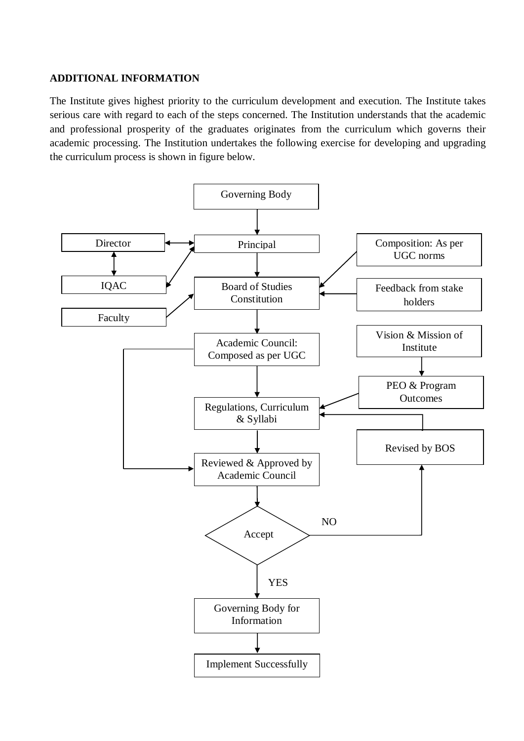## **ADDITIONAL INFORMATION**

The Institute gives highest priority to the curriculum development and execution. The Institute takes serious care with regard to each of the steps concerned. The Institution understands that the academic and professional prosperity of the graduates originates from the curriculum which governs their academic processing. The Institution undertakes the following exercise for developing and upgrading the curriculum process is shown in figure below.